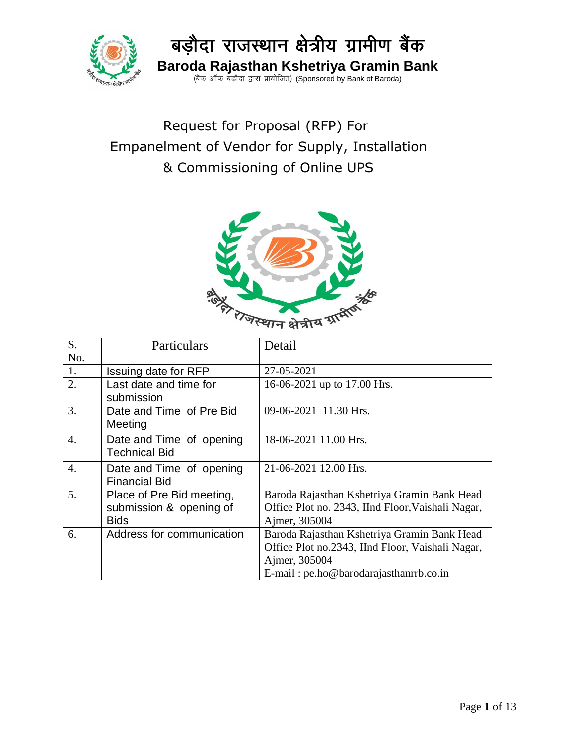

 Request for Proposal (RFP) For Empanelment of Vendor for Supply, Installation & Commissioning of Online UPS



| S.               | Particulars               | Detail                                            |
|------------------|---------------------------|---------------------------------------------------|
| No.              |                           |                                                   |
| 1.               | Issuing date for RFP      | 27-05-2021                                        |
| 2.               | Last date and time for    | 16-06-2021 up to 17.00 Hrs.                       |
|                  | submission                |                                                   |
| 3.               | Date and Time of Pre Bid  | 09-06-2021 11.30 Hrs.                             |
|                  | Meeting                   |                                                   |
| $\overline{4}$ . | Date and Time of opening  | 18-06-2021 11.00 Hrs.                             |
|                  | <b>Technical Bid</b>      |                                                   |
| $\overline{4}$ . | Date and Time of opening  | 21-06-2021 12.00 Hrs.                             |
|                  | <b>Financial Bid</b>      |                                                   |
| 5.               | Place of Pre Bid meeting, | Baroda Rajasthan Kshetriya Gramin Bank Head       |
|                  | submission & opening of   | Office Plot no. 2343, IInd Floor, Vaishali Nagar, |
|                  | <b>Bids</b>               | Ajmer, 305004                                     |
| 6.               | Address for communication | Baroda Rajasthan Kshetriya Gramin Bank Head       |
|                  |                           | Office Plot no.2343, IInd Floor, Vaishali Nagar,  |
|                  |                           | Ajmer, 305004                                     |
|                  |                           | E-mail: pe.ho@barodarajasthanrrb.co.in            |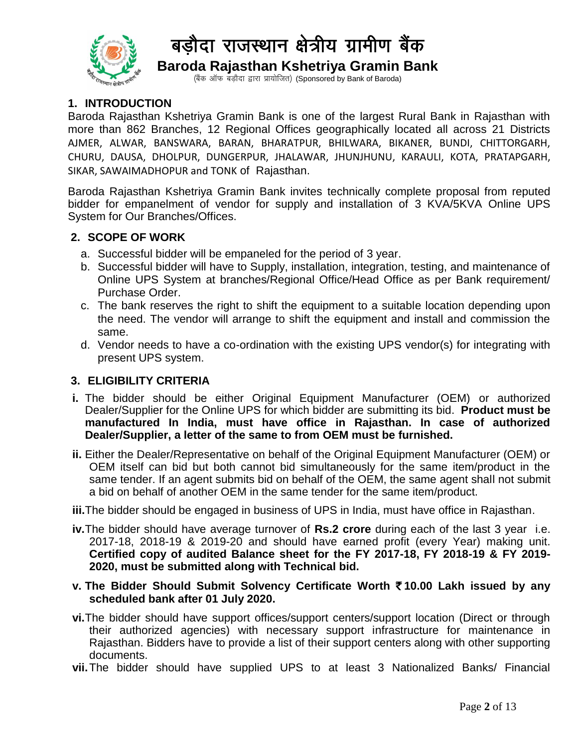

(बैंक ऑफ बड़ौदा द्वारा प्रायोजित) (Sponsored by Bank of Baroda)

#### **1. INTRODUCTION**

Baroda Rajasthan Kshetriya Gramin Bank is one of the largest Rural Bank in Rajasthan with more than 862 Branches, 12 Regional Offices geographically located all across 21 Districts AJMER, ALWAR, BANSWARA, BARAN, BHARATPUR, BHILWARA, BIKANER, BUNDI, CHITTORGARH, CHURU, DAUSA, DHOLPUR, DUNGERPUR, JHALAWAR, JHUNJHUNU, KARAULI, KOTA, PRATAPGARH, SIKAR, SAWAIMADHOPUR and TONK of Rajasthan.

Baroda Rajasthan Kshetriya Gramin Bank invites technically complete proposal from reputed bidder for empanelment of vendor for supply and installation of 3 KVA/5KVA Online UPS System for Our Branches/Offices.

#### **2. SCOPE OF WORK**

- a. Successful bidder will be empaneled for the period of 3 year.
- b. Successful bidder will have to Supply, installation, integration, testing, and maintenance of Online UPS System at branches/Regional Office/Head Office as per Bank requirement/ Purchase Order.
- c. The bank reserves the right to shift the equipment to a suitable location depending upon the need. The vendor will arrange to shift the equipment and install and commission the same.
- d. Vendor needs to have a co-ordination with the existing UPS vendor(s) for integrating with present UPS system.

#### **3. ELIGIBILITY CRITERIA**

- **i.** The bidder should be either Original Equipment Manufacturer (OEM) or authorized Dealer/Supplier for the Online UPS for which bidder are submitting its bid. **Product must be manufactured In India, must have office in Rajasthan. In case of authorized Dealer/Supplier, a letter of the same to from OEM must be furnished.**
- **ii.** Either the Dealer/Representative on behalf of the Original Equipment Manufacturer (OEM) or OEM itself can bid but both cannot bid simultaneously for the same item/product in the same tender. If an agent submits bid on behalf of the OEM, the same agent shall not submit a bid on behalf of another OEM in the same tender for the same item/product.

**iii.**The bidder should be engaged in business of UPS in India, must have office in Rajasthan.

- **iv.**The bidder should have average turnover of **Rs.2 crore** during each of the last 3 year i.e. 2017-18, 2018-19 & 2019-20 and should have earned profit (every Year) making unit. **Certified copy of audited Balance sheet for the FY 2017-18, FY 2018-19 & FY 2019- 2020, must be submitted along with Technical bid.**
- **v. The Bidder Should Submit Solvency Certificate Worth** `**10.00 Lakh issued by any scheduled bank after 01 July 2020.**
- **vi.**The bidder should have support offices/support centers/support location (Direct or through their authorized agencies) with necessary support infrastructure for maintenance in Rajasthan. Bidders have to provide a list of their support centers along with other supporting documents.
- **vii.**The bidder should have supplied UPS to at least 3 Nationalized Banks/ Financial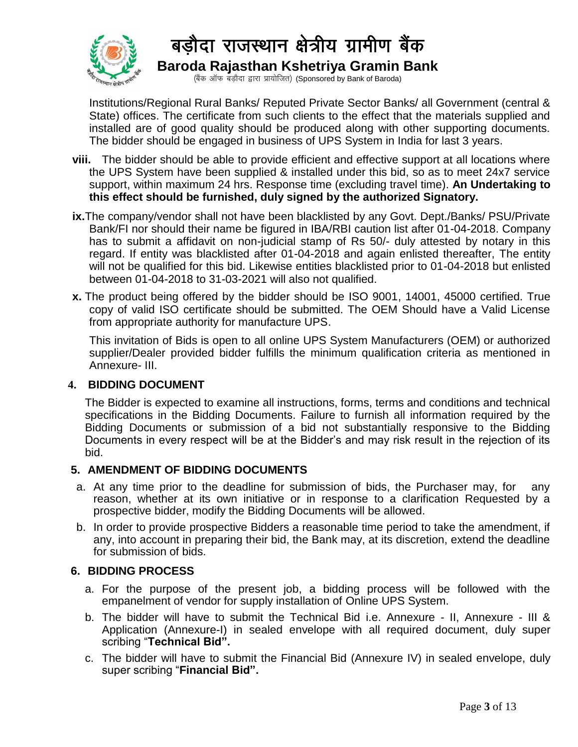

Institutions/Regional Rural Banks/ Reputed Private Sector Banks/ all Government (central & State) offices. The certificate from such clients to the effect that the materials supplied and installed are of good quality should be produced along with other supporting documents. The bidder should be engaged in business of UPS System in India for last 3 years.

- **viii.** The bidder should be able to provide efficient and effective support at all locations where the UPS System have been supplied & installed under this bid, so as to meet 24x7 service support, within maximum 24 hrs. Response time (excluding travel time). **An Undertaking to this effect should be furnished, duly signed by the authorized Signatory.**
- **ix.**The company/vendor shall not have been blacklisted by any Govt. Dept./Banks/ PSU/Private Bank/FI nor should their name be figured in IBA/RBI caution list after 01-04-2018. Company has to submit a affidavit on non-judicial stamp of Rs 50/- duly attested by notary in this regard. If entity was blacklisted after 01-04-2018 and again enlisted thereafter, The entity will not be qualified for this bid. Likewise entities blacklisted prior to 01-04-2018 but enlisted between 01-04-2018 to 31-03-2021 will also not qualified.
- **x.** The product being offered by the bidder should be ISO 9001, 14001, 45000 certified. True copy of valid ISO certificate should be submitted. The OEM Should have a Valid License from appropriate authority for manufacture UPS.

This invitation of Bids is open to all online UPS System Manufacturers (OEM) or authorized supplier/Dealer provided bidder fulfills the minimum qualification criteria as mentioned in Annexure- III.

#### **4. BIDDING DOCUMENT**

The Bidder is expected to examine all instructions, forms, terms and conditions and technical specifications in the Bidding Documents. Failure to furnish all information required by the Bidding Documents or submission of a bid not substantially responsive to the Bidding Documents in every respect will be at the Bidder's and may risk result in the rejection of its bid.

#### **5. AMENDMENT OF BIDDING DOCUMENTS**

- a. At any time prior to the deadline for submission of bids, the Purchaser may, for any reason, whether at its own initiative or in response to a clarification Requested by a prospective bidder, modify the Bidding Documents will be allowed.
- b. In order to provide prospective Bidders a reasonable time period to take the amendment, if any, into account in preparing their bid, the Bank may, at its discretion, extend the deadline for submission of bids.

#### **6. BIDDING PROCESS**

- a. For the purpose of the present job, a bidding process will be followed with the empanelment of vendor for supply installation of Online UPS System.
- b. The bidder will have to submit the Technical Bid i.e. Annexure II, Annexure III & Application (Annexure-I) in sealed envelope with all required document, duly super scribing "**Technical Bid".**
- c. The bidder will have to submit the Financial Bid (Annexure IV) in sealed envelope, duly super scribing "**Financial Bid".**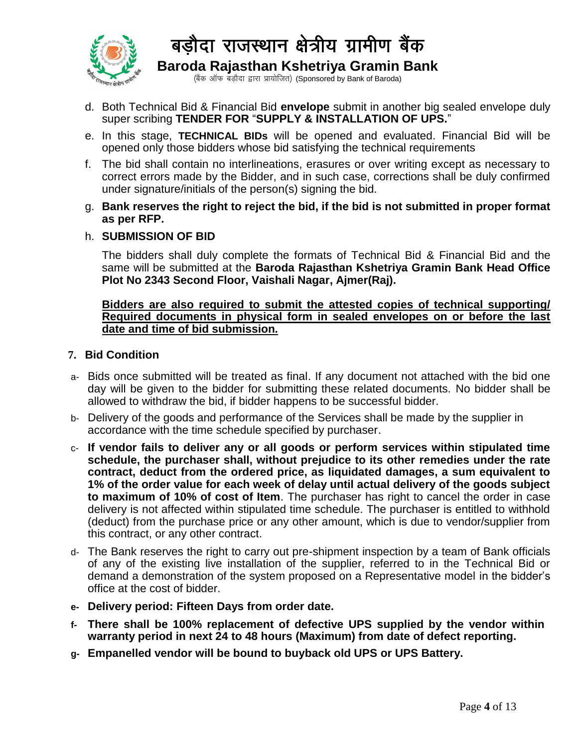

(बैंक ऑफ बड़ौदा द्वारा प्रायोजित) (Sponsored by Bank of Baroda)

- d. Both Technical Bid & Financial Bid **envelope** submit in another big sealed envelope duly super scribing **TENDER FOR** "**SUPPLY & INSTALLATION OF UPS.**"
- e. In this stage, **TECHNICAL BIDs** will be opened and evaluated. Financial Bid will be opened only those bidders whose bid satisfying the technical requirements
- f. The bid shall contain no interlineations, erasures or over writing except as necessary to correct errors made by the Bidder, and in such case, corrections shall be duly confirmed under signature/initials of the person(s) signing the bid.
- g. **Bank reserves the right to reject the bid, if the bid is not submitted in proper format as per RFP.**

#### h. **SUBMISSION OF BID**

The bidders shall duly complete the formats of Technical Bid & Financial Bid and the same will be submitted at the **Baroda Rajasthan Kshetriya Gramin Bank Head Office Plot No 2343 Second Floor, Vaishali Nagar, Ajmer(Raj).** 

#### **Bidders are also required to submit the attested copies of technical supporting/ Required documents in physical form in sealed envelopes on or before the last date and time of bid submission.**

#### **7. Bid Condition**

- a- Bids once submitted will be treated as final. If any document not attached with the bid one day will be given to the bidder for submitting these related documents. No bidder shall be allowed to withdraw the bid, if bidder happens to be successful bidder.
- b- Delivery of the goods and performance of the Services shall be made by the supplier in accordance with the time schedule specified by purchaser.
- c- **If vendor fails to deliver any or all goods or perform services within stipulated time schedule, the purchaser shall, without prejudice to its other remedies under the rate contract, deduct from the ordered price, as liquidated damages, a sum equivalent to 1% of the order value for each week of delay until actual delivery of the goods subject to maximum of 10% of cost of Item**. The purchaser has right to cancel the order in case delivery is not affected within stipulated time schedule. The purchaser is entitled to withhold (deduct) from the purchase price or any other amount, which is due to vendor/supplier from this contract, or any other contract.
- d- The Bank reserves the right to carry out pre-shipment inspection by a team of Bank officials of any of the existing live installation of the supplier, referred to in the Technical Bid or demand a demonstration of the system proposed on a Representative model in the bidder's office at the cost of bidder.
- **e- Delivery period: Fifteen Days from order date.**
- **f- There shall be 100% replacement of defective UPS supplied by the vendor within warranty period in next 24 to 48 hours (Maximum) from date of defect reporting.**
- **g- Empanelled vendor will be bound to buyback old UPS or UPS Battery.**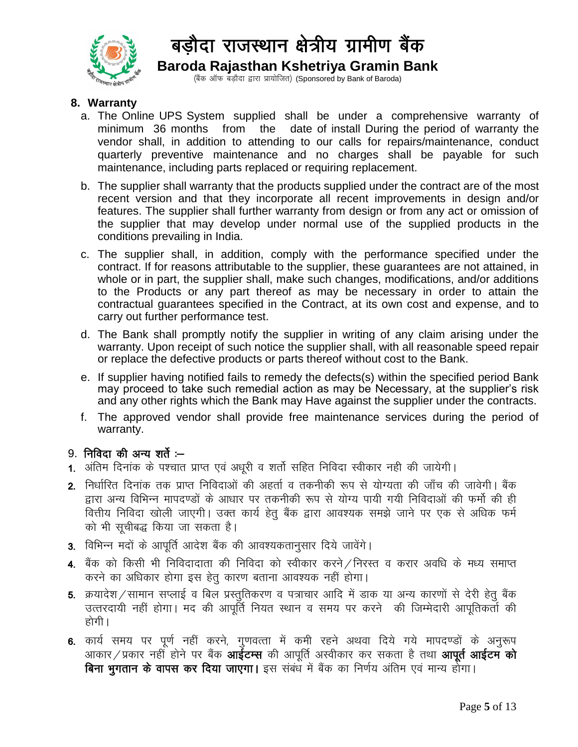

(बैंक ऑफ बड़ौदा द्वारा प्रायोजित) (Sponsored by Bank of Baroda)

#### **8. Warranty**

- a. The Online UPS System supplied shall be under a comprehensive warranty of minimum 36 months from the date of install During the period of warranty the vendor shall, in addition to attending to our calls for repairs/maintenance, conduct quarterly preventive maintenance and no charges shall be payable for such maintenance, including parts replaced or requiring replacement.
- b. The supplier shall warranty that the products supplied under the contract are of the most recent version and that they incorporate all recent improvements in design and/or features. The supplier shall further warranty from design or from any act or omission of the supplier that may develop under normal use of the supplied products in the conditions prevailing in India.
- c. The supplier shall, in addition, comply with the performance specified under the contract. If for reasons attributable to the supplier, these guarantees are not attained, in whole or in part, the supplier shall, make such changes, modifications, and/or additions to the Products or any part thereof as may be necessary in order to attain the contractual guarantees specified in the Contract, at its own cost and expense, and to carry out further performance test.
- d. The Bank shall promptly notify the supplier in writing of any claim arising under the warranty. Upon receipt of such notice the supplier shall, with all reasonable speed repair or replace the defective products or parts thereof without cost to the Bank.
- e. If supplier having notified fails to remedy the defects(s) within the specified period Bank may proceed to take such remedial action as may be Necessary, at the supplier's risk and any other rights which the Bank may Have against the supplier under the contracts.
- f. The approved vendor shall provide free maintenance services during the period of warranty.

#### $9.$  निविदा की अन्य शर्ते : $-$

- 1. अंतिम दिनांक के पश्चात प्राप्त एवं अधूरी व शर्तो सहित निविदा स्वीकार नही की जायेगी।
- 2. निर्धारित दिनांक तक प्राप्त निविदाओं की अहर्ता व तकनीकी रूप से योग्यता की जाँच की जावेगी। बैंक हारा अन्य विभिन्न मापदण्डों के आधार पर तकनीकी रूप से योग्य पायी गयी निविदाओं की फर्मो की ही वित्तीय निविदा खोली जाएगी। उक्त कार्य हेतु बैंक द्वारा आवश्यक समझे जाने पर एक से अधिक फर्म को भी सुचीबद्ध किया जा सकता है।
- 3- fofHkUu enksa d s vkiwfrZ vkns'k cSad dh vko';drku qlkj fn;s tkosaxsA
- 4. बैंक को किसी भी निविदादाता की निविदा को स्वीकार करने / निरस्त व करार अवधि के मध्य समाप्त करने का अधिकार होगा इस हेतु कारण बताना आवश्यक नहीं होगा।
- 5. क्रयादेश/सामान सप्लाई व बिल प्रस्तुतिकरण व पत्राचार आदि में डाक या अन्य कारणों से देरी हेतु बैंक उत्तरदायी नहीं होगा। मद की आपर्ति नियत स्थान व समय पर करने की जिम्मेदारी आपतिकर्ता की होगी ।
- 6. कार्य समय पर पूर्ण नहीं करने, गुणवत्ता में कमी रहने अथवा दिये गये मापदण्डों के अनुरूप  $\widetilde{\det}$ प्रकार नहीं होने पर बैंक आईटम्स की आपूर्ति अस्वीकार कर सकता है तथा आपूर्त आईटम को बिना भुगतान के वापस कर दिया जाएगा। इस संबंध में बैंक का निर्णय अंतिम एवं मान्य होगा।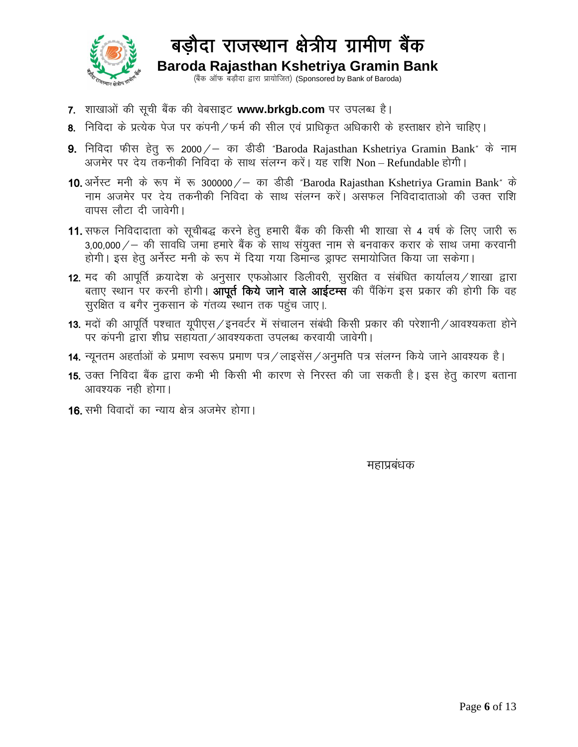

# बड़ौदा राजस्थान क्षेत्रीय ग्रामीण बैंक Baroda Rajasthan Kshetriya Gramin Bank<br>(बैंक ऑफ बड़ौदा द्वारा प्रायोजित) (Sponsored by Bank of Baroda)

- 7. शाखाओं की सूची बैंक की वेबसाइट www.brkgb.com पर उपलब्ध है।
- 8. निविदा के प्रत्येक पेज पर कंपनी / फर्म की सील एवं प्राधिकृत अधिकारी के हस्ताक्षर होने चाहिए।
- 9. निविदा फीस हेतु रू 2000/ का डीडी "Baroda Rajasthan Kshetriya Gramin Bank" के नाम<br>अजमेर पर देय तकनीकी निविदा के साथ संलग्न करें। यह राशि Non Refundable होगी।
- 10. अर्नेस्ट मनी के रूप में रू 300000/ का डीडी "Baroda Rajasthan Kshetriya Gramin Bank" के नाम अजमेर पर देय तकनीकी निविदा के साथ संलग्न करें। असफल निविदादाताओं की उक्त राशि वापस लौटा दी जावेगी।
- 11. सफल निविदादाता को सूचीबद्ध करने हेतु हमारी बैंक की किसी भी शाखा से 4 वर्ष के लिए जारी रू  $3,00,000/-$  की सावधि जमा हमारे बैंक के साथ संयुक्त नाम से बनवाकर करार के साथ जमा करवानी होगी। इस हेतू अर्नेस्ट मनी के रूप में दिया गया डिमान्ड ड्राफ्ट समायोजित किया जा सकेगा।
- 12. मद की आपूर्ति क्रयादेश के अनुसार एफओआर डिलीवरी, सुरक्षित व संबंधित कार्यालय /शाखा द्वारा बताए स्थान पर करनी होगी। आपूर्त किये जाने वाले आईटम्स की पैंकिंग इस प्रकार की होगी कि वह सुरक्षित व बगैर नुकसान के गंतव्य स्थान तक पहुंच जाए।
- 13. मदों की आपूर्ति पश्चात यूपीएस / इनवर्टर में संचालन संबंधी किसी प्रकार की परेशानी / आवश्यकता होने पर कंपनी द्वारा शीघ्र सहायता ⁄ आवश्यकता उपलब्ध करवायी जावेगी।
- 14. न्यूनतम अहर्ताओं के प्रमाण स्वरूप प्रमाण पत्र / लाइसेंस / अनुमति पत्र संलग्न किये जाने आवश्यक है।
- 15. उक्त निविदा बैंक द्वारा कभी भी किसी भी कारण से निरस्त की जा सकती है। इस हेतू कारण बताना आवश्यक नही होगा।
- 16. सभी विवादों का न्याय क्षेत्र अजमेर होगा।

महाप्रबंधक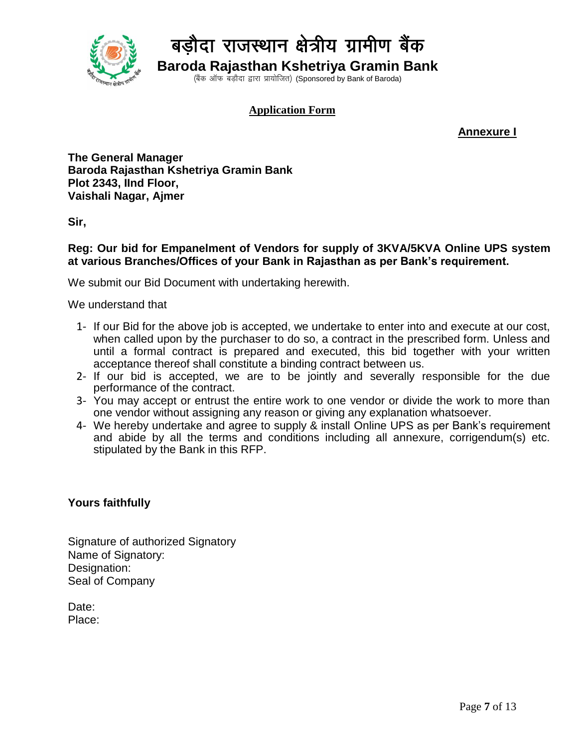

(बैंक ऑफ बड़ौदा द्वारा प्रायोजित) (Sponsored by Bank of Baroda)

#### **Application Form**

**Annexure I**

**The General Manager Baroda Rajasthan Kshetriya Gramin Bank Plot 2343, IInd Floor, Vaishali Nagar, Ajmer**

**Sir,**

#### **Reg: Our bid for Empanelment of Vendors for supply of 3KVA/5KVA Online UPS system at various Branches/Offices of your Bank in Rajasthan as per Bank's requirement.**

We submit our Bid Document with undertaking herewith.

We understand that

- 1- If our Bid for the above job is accepted, we undertake to enter into and execute at our cost, when called upon by the purchaser to do so, a contract in the prescribed form. Unless and until a formal contract is prepared and executed, this bid together with your written acceptance thereof shall constitute a binding contract between us.
- 2- If our bid is accepted, we are to be jointly and severally responsible for the due performance of the contract.
- 3- You may accept or entrust the entire work to one vendor or divide the work to more than one vendor without assigning any reason or giving any explanation whatsoever.
- 4- We hereby undertake and agree to supply & install Online UPS as per Bank's requirement and abide by all the terms and conditions including all annexure, corrigendum(s) etc. stipulated by the Bank in this RFP.

#### **Yours faithfully**

Signature of authorized Signatory Name of Signatory: Designation: Seal of Company

Date: Place: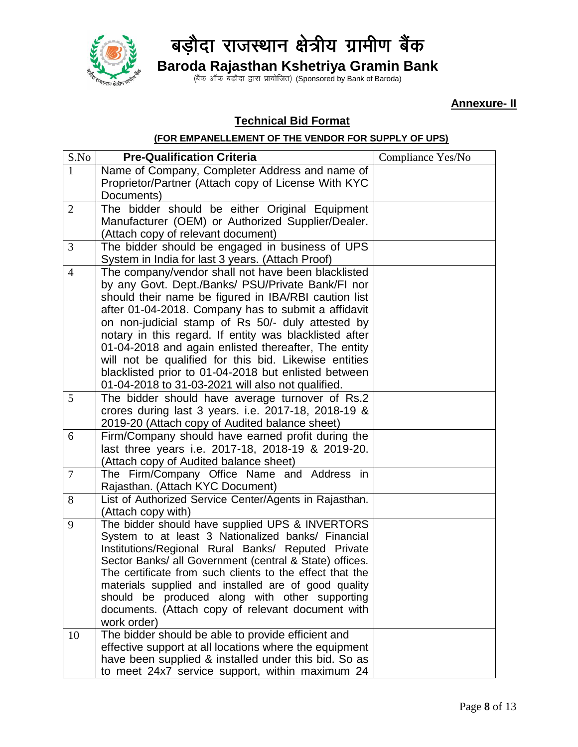

(बैंक ऑफ बड़ौदा द्वारा प्रायोजित) (Sponsored by Bank of Baroda)

**Annexure- II**

#### **Technical Bid Format**

#### **(FOR EMPANELLEMENT OF THE VENDOR FOR SUPPLY OF UPS)**

| S.No           | <b>Pre-Qualification Criteria</b>                                                                                   | Compliance Yes/No |
|----------------|---------------------------------------------------------------------------------------------------------------------|-------------------|
| $\mathbf{1}$   | Name of Company, Completer Address and name of                                                                      |                   |
|                | Proprietor/Partner (Attach copy of License With KYC                                                                 |                   |
|                | Documents)                                                                                                          |                   |
| $\overline{2}$ | The bidder should be either Original Equipment                                                                      |                   |
|                | Manufacturer (OEM) or Authorized Supplier/Dealer.                                                                   |                   |
|                | (Attach copy of relevant document)                                                                                  |                   |
| 3              | The bidder should be engaged in business of UPS                                                                     |                   |
|                | System in India for last 3 years. (Attach Proof)                                                                    |                   |
| $\overline{4}$ | The company/vendor shall not have been blacklisted                                                                  |                   |
|                | by any Govt. Dept./Banks/ PSU/Private Bank/FI nor                                                                   |                   |
|                | should their name be figured in IBA/RBI caution list                                                                |                   |
|                | after 01-04-2018. Company has to submit a affidavit                                                                 |                   |
|                | on non-judicial stamp of Rs 50/- duly attested by                                                                   |                   |
|                | notary in this regard. If entity was blacklisted after                                                              |                   |
|                | 01-04-2018 and again enlisted thereafter, The entity                                                                |                   |
|                | will not be qualified for this bid. Likewise entities                                                               |                   |
|                | blacklisted prior to 01-04-2018 but enlisted between                                                                |                   |
|                | 01-04-2018 to 31-03-2021 will also not qualified.                                                                   |                   |
| 5              | The bidder should have average turnover of Rs.2                                                                     |                   |
|                | crores during last 3 years. i.e. 2017-18, 2018-19 &                                                                 |                   |
|                | 2019-20 (Attach copy of Audited balance sheet)                                                                      |                   |
| 6              | Firm/Company should have earned profit during the                                                                   |                   |
|                | last three years i.e. 2017-18, 2018-19 & 2019-20.                                                                   |                   |
|                | (Attach copy of Audited balance sheet)                                                                              |                   |
| $\overline{7}$ | The Firm/Company Office Name and Address in                                                                         |                   |
|                | Rajasthan. (Attach KYC Document)                                                                                    |                   |
| 8              | List of Authorized Service Center/Agents in Rajasthan.                                                              |                   |
|                | (Attach copy with)                                                                                                  |                   |
| 9              | The bidder should have supplied UPS & INVERTORS                                                                     |                   |
|                | System to at least 3 Nationalized banks/ Financial                                                                  |                   |
|                | Institutions/Regional Rural Banks/ Reputed Private                                                                  |                   |
|                | Sector Banks/ all Government (central & State) offices.<br>The certificate from such clients to the effect that the |                   |
|                | materials supplied and installed are of good quality                                                                |                   |
|                | should be produced along with other supporting                                                                      |                   |
|                | documents. (Attach copy of relevant document with                                                                   |                   |
|                | work order)                                                                                                         |                   |
| 10             | The bidder should be able to provide efficient and                                                                  |                   |
|                | effective support at all locations where the equipment                                                              |                   |
|                | have been supplied & installed under this bid. So as                                                                |                   |
|                | to meet 24x7 service support, within maximum 24                                                                     |                   |
|                |                                                                                                                     |                   |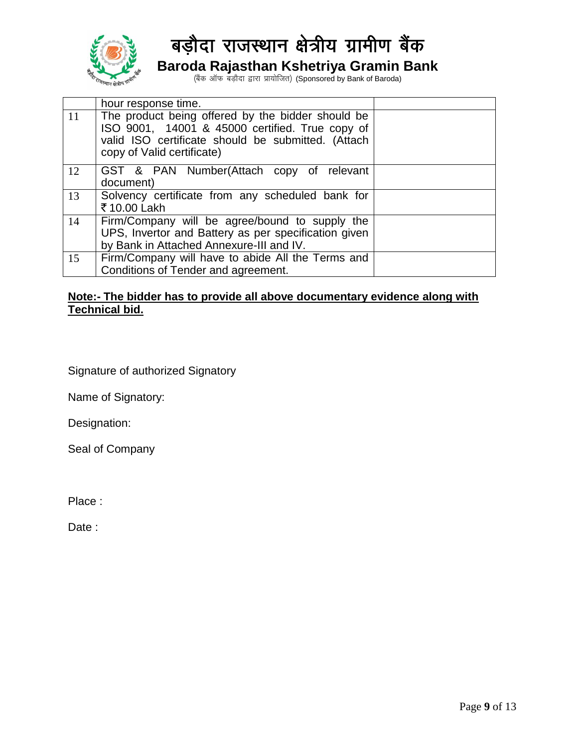

(बैंक ऑफ बड़ौदा द्वारा प्रायोजित) (Sponsored by Bank of Baroda)

|    | hour response time.                                                                                                                                                                      |  |
|----|------------------------------------------------------------------------------------------------------------------------------------------------------------------------------------------|--|
| 11 | The product being offered by the bidder should be<br>ISO 9001, 14001 & 45000 certified. True copy of<br>valid ISO certificate should be submitted. (Attach<br>copy of Valid certificate) |  |
| 12 | GST & PAN Number(Attach copy of relevant<br>document)                                                                                                                                    |  |
| 13 | Solvency certificate from any scheduled bank for<br>₹10.00 Lakh                                                                                                                          |  |
| 14 | Firm/Company will be agree/bound to supply the<br>UPS, Invertor and Battery as per specification given<br>by Bank in Attached Annexure-III and IV.                                       |  |
| 15 | Firm/Company will have to abide All the Terms and<br>Conditions of Tender and agreement.                                                                                                 |  |

#### **Note:- The bidder has to provide all above documentary evidence along with Technical bid.**

Signature of authorized Signatory

Name of Signatory:

Designation:

Seal of Company

Place :

Date: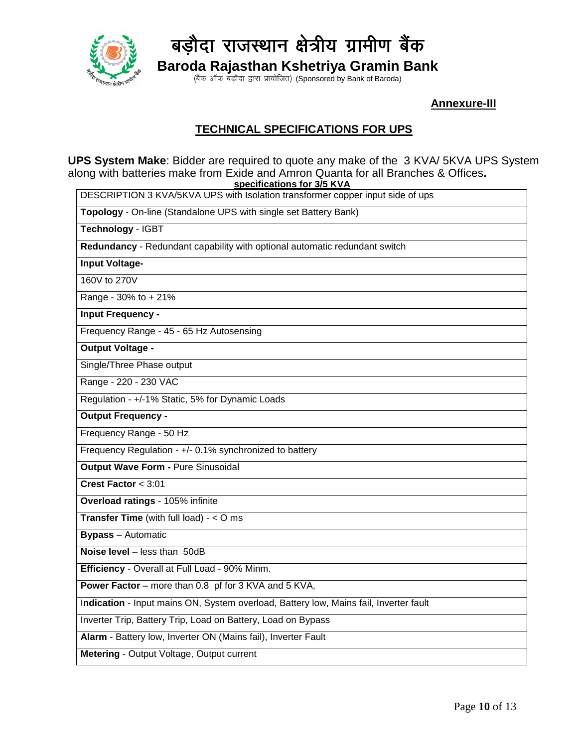

(बैंक ऑफ बड़ौदा द्वारा प्रायोजित) (Sponsored by Bank of Baroda)

 **Annexure-III**

#### **TECHNICAL SPECIFICATIONS FOR UPS**

**UPS System Make**: Bidder are required to quote any make of the 3 KVA/ 5KVA UPS System along with batteries make from Exide and Amron Quanta for all Branches & Offices**. specifications for 3/5 KVA**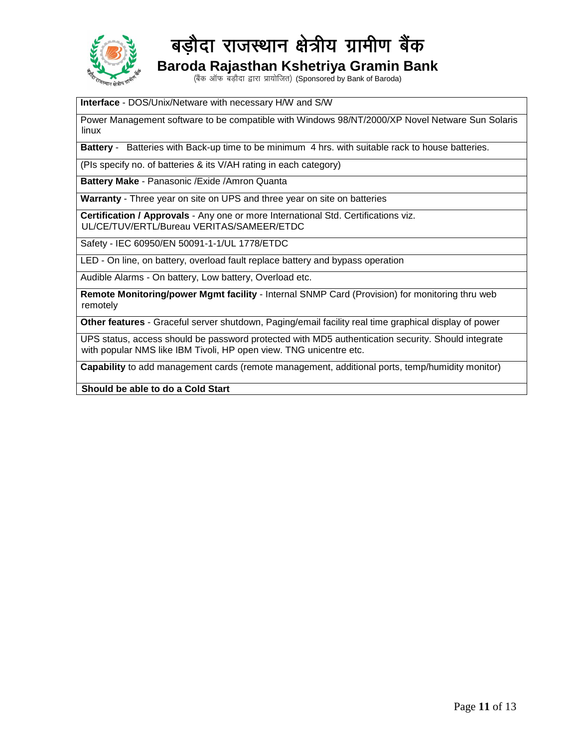

(बैंक ऑफ बड़ौदा द्वारा प्रायोजित) (Sponsored by Bank of Baroda)

#### **Interface** - DOS/Unix/Netware with necessary H/W and S/W

Power Management software to be compatible with Windows 98/NT/2000/XP Novel Netware Sun Solaris linux

**Battery** - Batteries with Back-up time to be minimum 4 hrs. with suitable rack to house batteries.

(PIs specify no. of batteries & its V/AH rating in each category)

**Battery Make** - Panasonic /Exide /Amron Quanta

**Warranty** - Three year on site on UPS and three year on site on batteries

**Certification / Approvals** - Any one or more International Std. Certifications viz. UL/CE/TUV/ERTL/Bureau VERITAS/SAMEER/ETDC

Safety - IEC 60950/EN 50091-1-1/UL 1778/ETDC

LED - On line, on battery, overload fault replace battery and bypass operation

Audible Alarms - On battery, Low battery, Overload etc.

**Remote Monitoring/power Mgmt facility** - Internal SNMP Card (Provision) for monitoring thru web remotely

**Other features** - Graceful server shutdown, Paging/email facility real time graphical display of power

UPS status, access should be password protected with MD5 authentication security. Should integrate with popular NMS like IBM Tivoli, HP open view. TNG unicentre etc.

**Capability** to add management cards (remote management, additional ports, temp/humidity monitor)

**Should be able to do a Cold Start**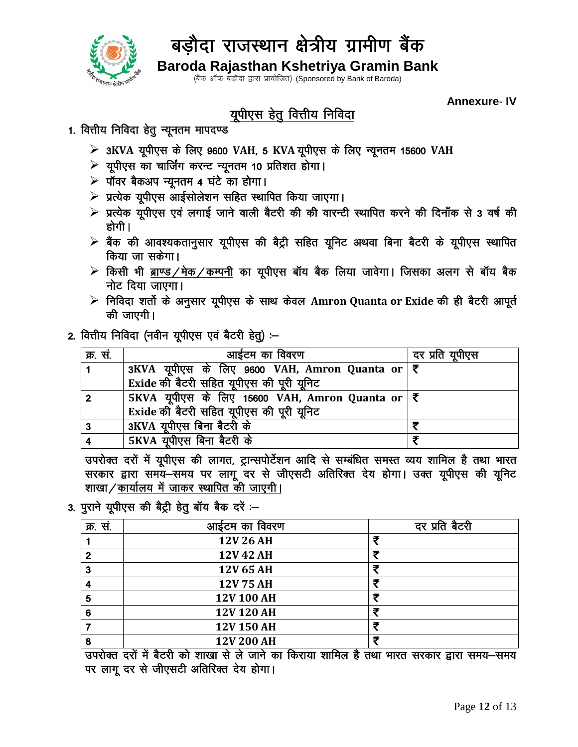

(बैंक ऑफ बड़ौदा द्वारा प्रायोजित) (Sponsored by Bank of Baroda)

**Annexure-IV** 

### युपीएस हेतु वित्तीय निविदा

- 1. वित्तीय निविदा हेतु न्यूनतम मापदण्ड
	- > 3KVA यूपीएस के लिए 9600 VAH, 5 KVA यूपीएस के लिए न्यूनतम 15600 VAH
	- ▶ यूपीएस का चार्जिंग करन्ट न्यूनतम 10 प्रतिशत होगा।
	- ▶ पॉवर बैकअप न्यूनतम 4 घंटे का होगा।
	- ▶ प्रत्येक यूपीएस आईसोलेशन सहित स्थापित किया जाएगा।
	- ≻ प्रत्येक यूपीएस एवं लगाई जाने वाली बैटरी की की वारन्टी स्थापित करने की दिनाँक से 3 वर्ष की होगी।
	- $\triangleright$  बैंक की आवश्यकतानुसार यूपीएस की बैट्री सहित यूनिट अथवा बिना बैटरी के यूपीएस स्थापित किया जा सकेगा।
	- $\triangleright$  किसी भी ब्राण्ड/मेक/कम्पनी का यूपीएस बॉय बैक लिया जावेगा। जिसका अलग से बॉय बैक नोट दिया जाएगा।
	- > निविदा शर्तो के अनुसार यूपीएस के साथ केवल Amron Quanta or Exide की ही बैटरी आपूर्त की जाएगी।

#### 2. वित्तीय निविदा (नवीन यूपीएस एवं बैटरी हेतु) :-

| क्र. सं.       | आईटम का विवरण                                                                   | दर प्रति यूपीएस |
|----------------|---------------------------------------------------------------------------------|-----------------|
|                | 3KVA यूपीएस के लिए 9600 VAH, Amron Quanta or   ₹                                |                 |
|                | Exide की बैटरी सहित यूपीएस की पूरी यूनिट                                        |                 |
| $\overline{2}$ | $\overline{\text{5KVA}}$ यूपीएस के लिए 15600 VAH, Amron Quanta or $ \bar{\xi} $ |                 |
|                | Exide की बैटरी सहित यूपीएस की पूरी यूनिट                                        |                 |
| 3              | 3KVA यूपीएस बिना बैटरी के                                                       |                 |
|                | 5KVA यूपीएस बिना बैटरी के                                                       |                 |

उपरोक्त दरों में यूपीएस की लागत, ट्रान्सपोर्टेशन आदि से सम्बंधित समस्त व्यय शामिल है तथा भारत सरकार द्वारा समये-समय पर लागू दर से जीएसटी अतिरिक्त देय होगा। उक्त यूपीएस की यूनिट शाखा/कार्यालय में जाकर स्थापित की जाएगी।

3. पुराने यूपीएस की बैट्री हेतू बॉय बैक दरें :-

| क्र. स. | आईटम का विवरण | दर प्रति बैटरी |
|---------|---------------|----------------|
|         | 12V 26 AH     | 手              |
|         | 12V 42 AH     | 동              |
| 3       | 12V 65 AH     | Ŧ              |
|         | 12V 75 AH     | 3              |
| 5       | 12V 100 AH    | ≖              |
| 6       | 12V 120 AH    | 手              |
|         | 12V 150 AH    | Ŧ              |
| 8       | 12V 200 AH    | 手              |

, उपरोक्त दरों में बैटरी को शाखा से ले जाने का किराया शामिल है तथा भारत सरकार द्वारा समय–समय पर लागू दर से जीएसटी अतिरिक्त देय होगा।